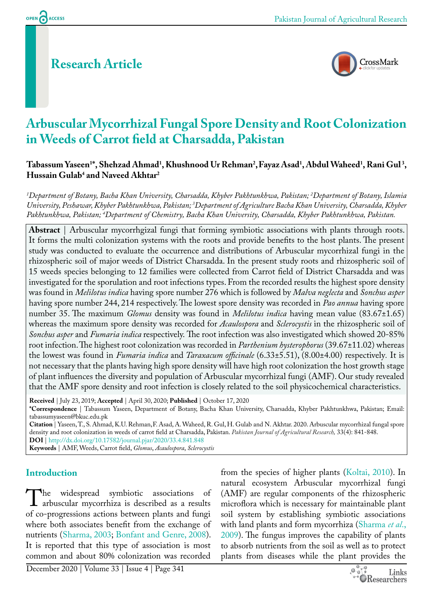# **Research Article**



# **Arbuscular Mycorrhizal Fungal Spore Density and Root Colonization in Weeds of Carrot field at Charsadda, Pakistan**

### $\Gamma$ abassum Yaseen<sup>1\*</sup>, Shehzad Ahmad<sup>1</sup>, Khushnood Ur Rehman<sup>2</sup>, Fayaz Asad<sup>1</sup>, Abdul Waheed<sup>1</sup>, Rani Gul<sup>3</sup>, **Hussain Gulab4 and Naveed Akhtar2**

*1 Department of Botany, Bacha Khan University, Charsadda, Khyber Pakhtunkhwa, Pakistan; 2 Department of Botany, Islamia University, Peshawar, Khyber Pakhtunkhwa, Pakistan; 3 Department of Agriculture Bacha Khan University, Charsadda, Khyber Pakhtunkhwa, Pakistan; 4 Department of Chemistry, Bacha Khan University, Charsadda, Khyber Pakhtunkhwa, Pakistan.*

**Abstract** | Arbuscular mycorrhgizal fungi that forming symbiotic associations with plants through roots. It forms the multi colonization systems with the roots and provide benefits to the host plants. The present study was conducted to evaluate the occurrence and distributions of Arbuscular mycorrhizal fungi in the rhizospheric soil of major weeds of District Charsadda. In the present study roots and rhizospheric soil of 15 weeds species belonging to 12 families were collected from Carrot field of District Charsadda and was investigated for the sporulation and root infections types. From the recorded results the highest spore density was found in *Melilotus indica* having spore number 276 which is followed by *Malva neglecta* and *Sonchus asper* having spore number 244, 214 respectively. The lowest spore density was recorded in *Pao annua* having spore number 35. The maximum *Glomus* density was found in *Melilotus indica* having mean value (83.67±1.65) whereas the maximum spore density was recorded for *Acaulospora* and *Sclerocystis* in the rhizospheric soil of *Sonchus asper* and *Fumaria indica* respectively. The root infection was also investigated which showed 20-85% root infection. The highest root colonization was recorded in *Parthenium hysterophorus* (39.67±11.02) whereas the lowest was found in *Fumaria indica* and *Taraxacum officinale* (6.33±5.51), (8.00±4.00) respectively*.* It is not necessary that the plants having high spore density will have high root colonization the host growth stage of plant influences the diversity and population of Arbuscular mycorrhizal fungi (AMF). Our study revealed that the AMF spore density and root infection is closely related to the soil physicochemical characteristics.

**Received** | July 23, 2019; **Accepted** | April 30, 2020; **Published** | October 17, 2020

**\*Correspondence** | Tabassum Yaseen, Department of Botany, Bacha Khan University, Charsadda, Khyber Pakhtunkhwa, Pakistan; Email: tabassumyaseen@bkuc.edu.pk

**Citation** | Yaseen, T., S. Ahmad, K.U. Rehman,F. Asad, A. Waheed, R. Gul, H. Gulab and N. Akhtar. 2020. Arbuscular mycorrhizal fungal spore density and root colonization in weeds of carrot field at Charsadda, Pakistan. *Pakistan Journal of Agricultural Research,* 33(4): 841-848. **DOI** | <http://dx.doi.org/10.17582/journal.pjar/2020/33.4.841.848>

**Keywords** | AMF, Weeds, Carrot field, *Glomus*, *Acaulospora*, *Sclerocystis* 

## **Introduction**

The widespread symbiotic associations of<br>arbuscular mycorrhiza is described as a results<br>of co-progressions actions between plants and fungi arbuscular mycorrhiza is described as a results of co-progressions actions between plants and fungi where both associates benefit from the exchange of nutrients [\(Sharma, 2003](#page-6-0); [Bonfant and Genre, 2008](#page-4-0)). It is reported that this type of association is most common and about 80% colonization was recorded

from the species of higher plants ([Koltai, 2010](#page-5-0)). In natural ecosystem Arbuscular mycorrhizal fungi (AMF) are regular components of the rhizospheric microflora which is necessary for maintainable plant soil system by establishing symbiotic associations with land plants and form mycorrhiza ([Sharma](#page-6-1) *et al*., [2009\)](#page-6-1). The fungus improves the capability of plants to absorb nutrients from the soil as well as to protect plants from diseases while the plant provides the

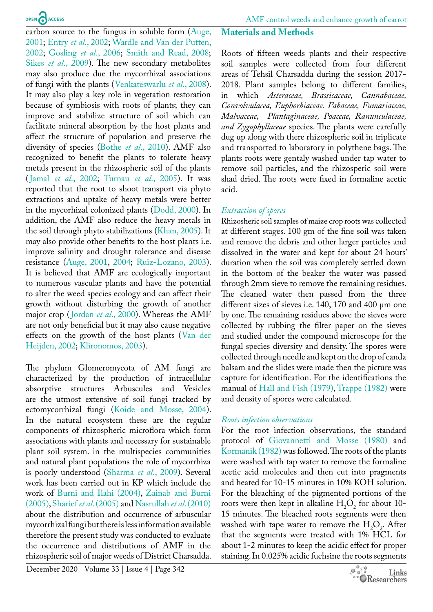carbon source to the fungus in soluble form [\(Auge,](#page-4-1)  [2001](#page-4-1); Entry *et al*[., 2002;](#page-5-1) [Wardle and Van der Putten,](#page-7-0)  [2002](#page-7-0); [Gosling](#page-5-2) *et al*., 2006; [Smith and Read, 2008](#page-6-2); Sikes *et al*[., 2009\)](#page-6-3). The new secondary metabolites may also produce due the mycorrhizal associations of fungi with the plants ([Venkateswarlu](#page-7-1) *et al*., 2008). It may also play a key role in vegetation restoration because of symbiosis with roots of plants; they can improve and stabilize structure of soil which can facilitate mineral absorption by the host plants and affect the structure of population and preserve the diversity of species (Bothe *et al*[., 2010](#page-5-3)). AMF also recognized to benefit the plants to tolerate heavy metals present in the rhizospheric soil of the plants (Jamal *et al*[., 2002;](#page-5-4) [Turnau](#page-6-4) *et al*., 2005). It was reported that the root to shoot transport via phyto extractions and uptake of heavy metals were better in the mycorhizal colonized plants [\(Dodd, 2000](#page-5-5)). In addition, the AMF also reduce the heavy metals in the soil through phyto stabilizations [\(Khan, 2005](#page-5-6)). It may also provide other benefits to the host plants i.e. improve salinity and drought tolerance and disease resistance ([Auge, 2001](#page-4-1), [2004;](#page-4-2) [Ruiz-Lozano, 2003\)](#page-6-5). It is believed that AMF are ecologically important to numerous vascular plants and have the potential to alter the weed species ecology and can affect their growth without disturbing the growth of another major crop ([Jordan](#page-5-7) *et al*., 2000). Whereas the AMF are not only beneficial but it may also cause negative effects on the growth of the host plants ([Van der](#page-6-6)  [Heijden, 2002;](#page-6-6) [Klironomos, 2003\)](#page-5-8).

The phylum Glomeromycota of AM fungi are characterized by the production of intracellular absorptive structures Arbuscules and Vesicles are the utmost extensive of soil fungi tracked by ectomycorrhizal fungi ([Koide and Mosse, 2004\)](#page-5-9). In the natural ecosystem these are the regular components of rhizospheric microflora which form associations with plants and necessary for sustainable plant soil system. in the multispecies communities and natural plant populations the role of mycorrhiza is poorly understood ([Sharma](#page-6-1) *et al*., 2009). Several work has been carried out in KP which include the work of [Burni and Ilahi \(2004\)](#page-5-10), [Zainab and Burni](#page-7-2)  [\(2005\)](#page-7-2), [Sharief](#page-6-7) *et al*. (2005) and [Nasrullah](#page-6-8) *et al*. (2010) about the distribution and occurrence of arbuscular mycorrhizal fungi but there is less information available therefore the present study was conducted to evaluate the occurrence and distributions of AMF in the rhizospheric soil of major weeds of District Charsadda.

## **Materials and Methods**

Roots of fifteen weeds plants and their respective soil samples were collected from four different areas of Tehsil Charsadda during the session 2017- 2018. Plant samples belong to different families, in which *Asteraceae, Brassicaceae, Cannabaceae, Convolvulacea, Euphorbiaceae. Fabaceae, Fumariaceae, Malvaceae, Plantaginaceae, Poaceae, Ranunculaceae, and Zygophyllaceae* species. The plants were carefully dug up along with there rhizospheric soil in triplicate and transported to laboratory in polythene bags. The plants roots were gentaly washed under tap water to remove soil particles, and the rhizosperic soil were shad dried. The roots were fixed in formaline acetic acid.

#### *Extraction of spores*

Rhizosheric soil samples of maize crop roots was collected at different stages. 100 gm of the fine soil was taken and remove the debris and other larger particles and dissolved in the water and kept for about 24 hours' duration when the soil was completely settled down in the bottom of the beaker the water was passed through 2mm sieve to remove the remaining residues. The cleaned water then passed from the three different sizes of sieves i.e. 140, 170 and 400 µm one by one. The remaining residues above the sieves were collected by rubbing the filter paper on the sieves and studied under the compound microscope for the fungal species diversity and density. The spores were collected through needle and kept on the drop of canda balsam and the slides were made then the picture was capture for identification. For the identifications the manual of [Hall and Fish \(1979\),](#page-5-11) [Trappe \(1982\)](#page-6-9) were and density of spores were calculated.

#### *Roots infection observations*

For the root infection observations, the standard protocol of [Giovannetti and Mosse \(1980\)](#page-5-12) and [Kormanik \(1982\)](#page-5-13) was followed. The roots of the plants were washed with tap water to remove the formaline acetic acid molecules and then cut into pragments and heated for 10-15 minutes in 10% KOH solution. For the bleaching of the pigmented portions of the roots were then kept in alkaline  $H_2O_2$  for about 10-15 minutes. The bleached roots segments were then washed with tape water to remove the  $H_2O_2$ . After that the segments were treated with 1% HCL for about 1-2 minutes to keep the acidic effect for proper staining. In 0.025% acidic fuchsine the roots segments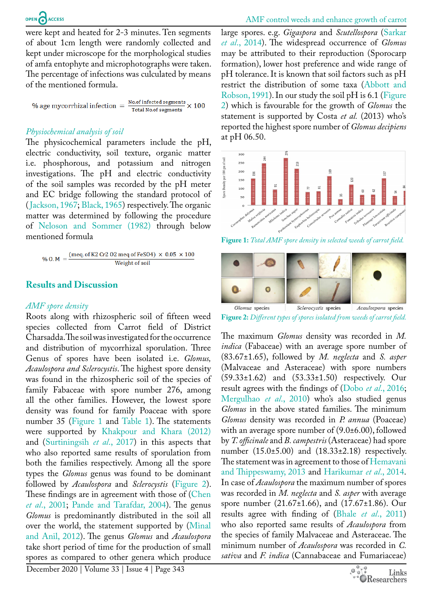were kept and heated for 2-3 minutes. Ten segments of about 1cm length were randomly collected and kept under microscope for the morphological studies of amfa entophyte and microphotographs were taken. The percentage of infections was culculated by means of the mentioned formula.

% age mycorrhizal infection  $=$   $\frac{No{.}of\text{ infected segments}}{Total\text{ No of segments}} \times 100$ **Total No.of segments** 

#### *Physiochemical analysis of soil*

The physicochemical parameters include the pH, electric conductivity, soil texture, organic matter i.e. phosphorous, and potassium and nitrogen investigations. The pH and electric conductivity of the soil samples was recorded by the pH meter and EC bridge following the standard protocol of ([Jackson, 1967;](#page-5-14) [Black, 1965](#page-4-3)) respectively. The organic matter was determined by following the procedure of [Neloson and Sommer \(1982\)](#page-6-10) through below mentioned formula

$$
\%~0.~M~= \frac{(meq.~of~K2~Cr2~02~meq~of~FeSO4)~\times~0.05~\times100}{Weight~of~soil}
$$

#### **Results and Discussion**

#### *AMF spore density*

Roots along with rhizospheric soil of fifteen weed species collected from Carrot field of District Charsadda. The soil was investigated for the occurrence and distribution of mycorrhizal sporulation. Three Genus of spores have been isolated i.e. *Glomus, Acaulospora and Sclerocystis*. The highest spore density was found in the rhizospheric soil of the species of family Fabaceae with spore number 276, among all the other families. However, the lowest spore density was found for family Poaceae with spore number 35 [\(Figure 1](#page-2-0) and [Table 1](#page-3-0)). The statements were supported by [Khakpour and Khara \(2012\)](#page-5-15) and ([Surtiningsih](#page-6-11) *et al*., 2017) in this aspects that who also reported same results of sporulation from both the families respectively. Among all the spore types the *Glomus* genus was found to be dominant followed by *Acaulospora* and *Sclerocystis* [\(Figure 2\)](#page-2-1). These findings are in agreement with those of (Chen *et al*[., 2001](#page-5-16); [Pande and Tarafdar, 2004](#page-6-12)). The genus *Glomus* is predominantly distributed in the soil all over the world, the statement supported by [\(Minal](#page-6-13)  [and Anil, 2012](#page-6-13)). The genus *Glomus* and *Acaulospora* take short period of time for the production of small spores as compared to other genera which produce

large spores. e.g. *Gigaspora* and *Scutellospora* ([Sarkar](#page-6-14)  *et al*[., 2014\)](#page-6-14). The widespread occurrence of *Glomus*  may be attributed to their reproduction (Sporocarp formation), lower host preference and wide range of pH tolerance. It is known that soil factors such as pH restrict the distribution of some taxa ([Abbott and](#page-4-4)  [Robson, 1991\)](#page-4-4). In our study the soil pH is  $6.1$  (Figure [2](#page-2-1)) which is favourable for the growth of *Glomus* the statement is supported by Costa *et al.* (2013) who's reported the highest spore number of *Glomus decipiens* at pH 06.50.



<span id="page-2-0"></span>**Figure 1:** *Total AMF spore density in selected weeds of carrot field.*



<span id="page-2-1"></span>**Figure 2:** *Different types of spores isolated from weeds of carrot field.*

The maximum *Glomus* density was recorded in *M. indica* (Fabaceae) with an average spore number of (83.67±1.65), followed by *M. neglecta* and *S. asper*  (Malvaceae and Asteraceae) with spore numbers (59.33±1.62) and (53.33±1.50) respectively. Our result agrees with the findings of (Dobo *et al*[., 2016](#page-5-17); [Mergulhao](#page-6-15) *et al*., 2010) who's also studied genus *Glomus* in the above stated families. The minimum *Glomus* density was recorded in *P. annua* (Poaceae) with an average spore number of (9.0±6.00), followed by *T. officinale* and *B. campestris* (Asteraceae) had spore number  $(15.0 \pm 5.00)$  and  $(18.33 \pm 2.18)$  respectively. The statement was in agreement to those of [Hemavani](#page-5-18) [and Thippeswamy, 2013](#page-5-18) and [Harikumar](#page-5-19) *et al*., 2014. In case of *Acaulospora* the maximum number of spores was recorded in *M. neglecta* and *S. asper* with average spore number (21.67±1.66), and (17.67±1.86). Our results agree with finding of (Bhale *et al*[., 2011\)](#page-4-5) who also reported same results of *Acaulospora* from the species of family Malvaceae and Asteraceae. The minimum number of *Acaulospora* was recorded in *C. sativa* and *F. indica* (Cannabaceae and Fumariaceae)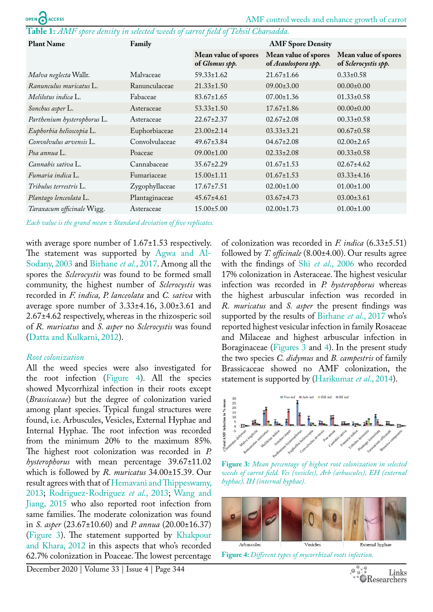<span id="page-3-0"></span>**Table 1:** *AMF spore density in selected weeds of carrot field of Tehsil Charsadda.*

| <b>Plant Name</b>           | Family         | <b>AMF</b> Spore Density               |                                             |                                              |
|-----------------------------|----------------|----------------------------------------|---------------------------------------------|----------------------------------------------|
|                             |                | Mean value of spores<br>of Glomus spp. | Mean value of spores<br>of Acaulospora spp. | Mean value of spores<br>of Sclerocystis spp. |
| Malva neglecta Wallr.       | Malvaceae      | $59.33 \pm 1.62$                       | $21.67 \pm 1.66$                            | $0.33 \pm 0.58$                              |
| Ranunculus muricatus L.     | Ranunculaceae  | $21.33 \pm 1.50$                       | $09.00 \pm 3.00$                            | $00.00 \pm 0.00$                             |
| Melilotus indica L.         | Fabaceae       | $83.67 \pm 1.65$                       | $07.00 \pm 1.36$                            | $01.33 \pm 0.58$                             |
| Sonchus asper L.            | Asteraceae     | $53.33 \pm 1.50$                       | $17.67 \pm 1.86$                            | $00.00 \pm 0.00$                             |
| Parthenium hysterophorus L. | Asteraceae     | $22.67 \pm 2.37$                       | $02.67 \pm 2.08$                            | $00.33 \pm 0.58$                             |
| Euphorbia helioscopia L.    | Euphorbiaceae  | $23.00 \pm 2.14$                       | $03.33 \pm 3.21$                            | $00.67 \pm 0.58$                             |
| Convolvulus arvensis L.     | Convolvulaceae | $49.67 \pm 3.84$                       | $04.67 \pm 2.08$                            | $02.00 \pm 2.65$                             |
| Poa annua L.                | Poaceae        | $09.00 \pm 1.00$                       | $02.33 \pm 2.08$                            | $00.33 \pm 0.58$                             |
| Cannabis sativa L.          | Cannabaceae    | $35.67 \pm 2.29$                       | $01.67 \pm 1.53$                            | $02.67 \pm 4.62$                             |
| Fumaria indica L.           | Fumariaceae    | $15.00 \pm 1.11$                       | $01.67 \pm 1.53$                            | $03.33 \pm 4.16$                             |
| Tribulus terrestris L.      | Zygophyllaceae | $17.67 \pm 7.51$                       | $02.00 \pm 1.00$                            | $01.00 \pm 1.00$                             |
| Plantago lenceolata L.      | Plantaginaceae | $45.67 \pm 4.61$                       | $03.67 \pm 4.73$                            | $03.00 \pm 3.61$                             |
| Taraxacum officinale Wigg.  | Asteraceae     | $15.00 \pm 5.00$                       | $02.00 \pm 1.73$                            | $01.00 \pm 1.00$                             |

*Each value is the grand mean ± Standard deviation of five replicates.*

with average spore number of  $1.67 \pm 1.53$  respectively. The statement was supported by [Agwa and Al-](#page-4-6)[Sodany, 2003](#page-4-6) and [Birhane](#page-4-7) *et al*., 2017. Among all the spores the *Sclerocystis* was found to be formed small community, the highest number of *Sclerocystis* was recorded in *F. indica, P. lanceolata* and *C. sativa* with average spore number of 3.33±4.16, 3.00±3.61 and 2.67±4.62 respectively, whereas in the rhizosperic soil of *R. muricatus* and *S. asper* no *Sclerocystis* was found ([Datta and Kulkarni, 2012](#page-5-20)).

#### *Root colonization*

All the weed species were also investigated for the root infection ([Figure 4\)](#page-3-1). All the species showed Mycorrhizal infection in their roots except (*Brassicaceae*) but the degree of colonization varied among plant species. Typical fungal structures were found, i.e. Arbuscules, Vesicles, External Hyphae and Internal Hyphae. The root infection was recorded from the minimum 20% to the maximum 85%. The highest root colonization was recorded in *P. hysterophorus* with mean percentage 39.67±11.02 which is followed by *R. muricatus* 34.00±15.39. Our result agrees with that of [Hemavani and Thippeswamy,](#page-5-18)  [2013;](#page-5-18) [Rodriguez-Rodriguez](#page-6-16) *et al*., 2013; [Wang and](#page-7-3)  [Jiang, 2015](#page-7-3) who also reported root infection from same families. The moderate colonization was found in *S. asper* (23.67±10.60) and *P. annua* (20.00±16.37) ([Figure 3](#page-3-2)). The statement supported by [Khakpour](#page-5-15)  [and Khara, 2012](#page-5-15) in this aspects that who's recorded 62.7% colonization in Poaceae. The lowest percentage of colonization was recorded in *F. indica* (6.33±5.51) followed by *T. officinale* (8.00±4.00). Our results agree with the findings of Shi *et al*[., 2006](#page-6-17) who recorded 17% colonization in Asteraceae. The highest vesicular infection was recorded in *P. hysterophorus* whereas the highest arbuscular infection was recorded in *R. muricatus* and *S. asper* the present findings was supported by the results of [Birhane](#page-4-7) *et al*., 2017 who's reported highest vesicular infection in family Rosaceae and Milaceae and highest arbuscular infection in Boraginaceae ([Figures 3](#page-3-2) and [4](#page-3-1)). In the present study the two species *C. didymus* and *B. campestris* of family Brassicaceae showed no AMF colonization, the statement is supported by [\(Harikumar](#page-5-19) *et al*., 2014).



<span id="page-3-2"></span>**Figure 3:** *Mean percentage of highest root colonization in selected weeds of carrot field. Ves (vesicles), Arb (arbuscules), EH (external hyphae), IH (internal hyphae).*

<span id="page-3-1"></span>

**Figure 4:** *Different types of mycorrhizal roots infection.*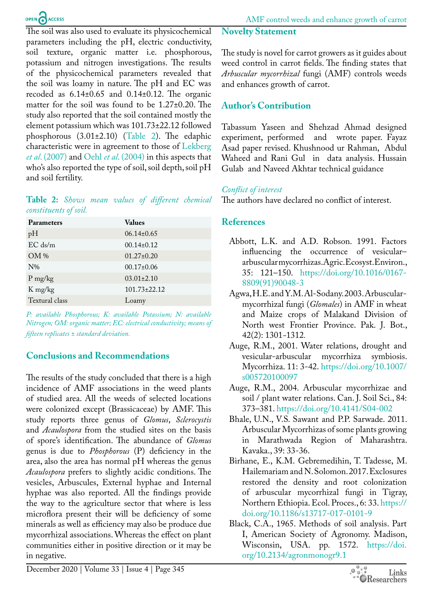The soil was also used to evaluate its physicochemical parameters including the pH, electric conductivity, soil texture, organic matter i.e. phosphorous, potassium and nitrogen investigations. The results of the physicochemical parameters revealed that the soil was loamy in nature. The pH and EC was recoded as 6.14±0.65 and 0.14±0.12. The organic matter for the soil was found to be 1.27±0.20. The study also reported that the soil contained mostly the element potassium which was 101.73±22.12 followed phosphorous (3.01±2.10) [\(Table 2](#page-4-8)). The edaphic characteristic were in agreement to those of [Lekberg](#page-6-18)  *et al*[. \(2007\)](#page-6-18) and Oehl *et al*[. \(2004\)](#page-6-19) in this aspects that who's also reported the type of soil, soil depth, soil pH and soil fertility.

#### <span id="page-4-8"></span>**Table 2:** *Shows mean values of different chemical constituents of soil.*

| <b>Parameters</b> | <b>Values</b>      |
|-------------------|--------------------|
| pH                | $06.14 \pm 0.65$   |
| $EC$ ds/m         | $00.14 \pm 0.12$   |
| $OM\%$            | $01.27 \pm 0.20$   |
| $N\%$             | $00.17 \pm 0.06$   |
| $P$ mg/kg         | $03.01 \pm 2.10$   |
| K mg/kg           | $101.73 \pm 22.12$ |
| Textural class    | Loamy              |

*P: available Phosphorous; K: available Potassium; N: available Nitrogen; OM: organic matter; EC: electrical conductivity; means of fifteen replicates ± standard deviation.*

### **Conclusions and Recommendations**

The results of the study concluded that there is a high incidence of AMF associations in the weed plants of studied area. All the weeds of selected locations were colonized except (Brassicaceae) by AMF. This study reports three genus of *Glomus*, *Sclerocystis*  and *Acaulospora* from the studied sites on the basis of spore's identification. The abundance of *Glomus* genus is due to *Phosphorous* (P) deficiency in the area, also the area has normal pH whereas the genus *Acaulospora* prefers to slightly acidic conditions. The vesicles, Arbuscules, External hyphae and Internal hyphae was also reported. All the findings provide the way to the agriculture sector that where is less microflora present their will be deficiency of some minerals as well as efficiency may also be produce due mycorrhizal associations. Whereas the effect on plant communities either in positive direction or it may be in negative.

#### **Novelty Statement**

The study is novel for carrot growers as it guides about weed control in carrot fields. The finding states that *Arbuscular mycorrhizal* fungi (AMF) controls weeds and enhances growth of carrot.

## **Author's Contribution**

Tabassum Yaseen and Shehzad Ahmad designed experiment, performed and wrote paper. Fayaz Asad paper revised. Khushnood ur Rahman, Abdul Waheed and Rani Gul in data analysis. Hussain Gulab and Naveed Akhtar technical guidance

## *Conflict of interest*

The authors have declared no conflict of interest.

## **References**

- <span id="page-4-4"></span>Abbott, L.K. and A.D. Robson. 1991. Factors influencing the occurrence of vesicular– arbuscular mycorrhizas. Agric. Ecosyst. Environ., 35: 121–150. [https://doi.org/10.1016/0167-](https://doi.org/10.1016/0167-8809(91)90048-3) [8809\(91\)90048-3](https://doi.org/10.1016/0167-8809(91)90048-3)
- <span id="page-4-6"></span>Agwa, H.E. and Y.M. Al-Sodany. 2003. Arbuscularmycorrhizal fungi (*Glomales*) in AMF in wheat and Maize crops of Malakand Division of North west Frontier Province. Pak. J. Bot., 42(2): 1301*-*1312*.*
- <span id="page-4-1"></span>Auge, R.M., 2001. Water relations, drought and vesicular-arbuscular mycorrhiza symbiosis. Mycorrhiza. 11: 3-42. [https://doi.org/10.1007/](https://doi.org/10.1007/s005720100097) [s005720100097](https://doi.org/10.1007/s005720100097)
- <span id="page-4-2"></span>Auge, R.M., 2004. Arbuscular mycorrhizae and soil / plant water relations. Can. J. Soil Sci., 84: 373–381.<https://doi.org/10.4141/S04-002>
- <span id="page-4-5"></span>Bhale, U.N., V.S. Sawant and P.P. Sarwade. 2011. Arbuscular Mycorrhizas of some plants growing in Marathwada Region of Maharashtra. Kavaka., 39: 33-36.
- <span id="page-4-7"></span>Birhane, E., K.M. Gebremedihin, T. Tadesse, M. Hailemariam and N. Solomon. 2017. Exclosures restored the density and root colonization of arbuscular mycorrhizal fungi in Tigray, Northern Ethiopia. Ecol. Proces., 6: 33. [https://](https://doi.org/10.1186/s13717-017-0101-9) [doi.org/10.1186/s13717-017-0101-9](https://doi.org/10.1186/s13717-017-0101-9)
- <span id="page-4-3"></span><span id="page-4-0"></span>Black, C.A., 1965. Methods of soil analysis. Part I, American Society of Agronomy. Madison, Wisconsin, USA. pp. 1572. [https://doi.](https://doi.org/10.2134/agronmonogr9.1 ) [org/10.2134/agronmonogr9.1](https://doi.org/10.2134/agronmonogr9.1 )

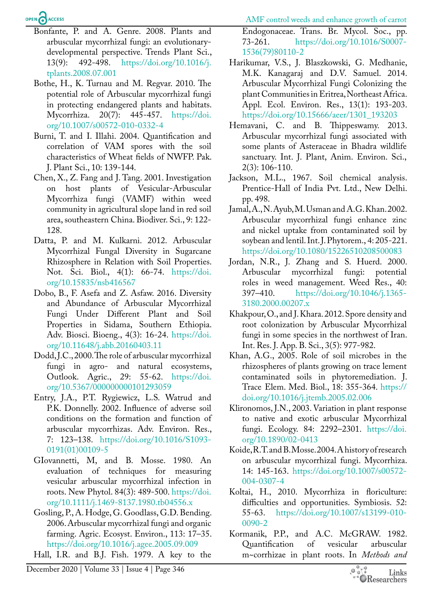AMF control weeds and enhance growth of carrot

Endogonaceae. Trans. Br. Mycol. Soc., pp.

## OPEN CACCESS

- Bonfante, P. and A. Genre. 2008. Plants and arbuscular mycorrhizal fungi: an evolutionarydevelopmental perspective. Trends Plant Sci., 13(9): 492-498. [https://doi.org/10.1016/j.](https://doi.org/10.1016/j.tplants.2008.07.001) [tplants.2008.07.001](https://doi.org/10.1016/j.tplants.2008.07.001)
- <span id="page-5-3"></span>Bothe, H., K. Turnau and M. Regvar. 2010. The potential role of Arbuscular mycorrhizal fungi in protecting endangered plants and habitats. Mycorrhiza. 20(7): 445-457. [https://doi.](https://doi.org/10.1007/s00572-010-0332-4) [org/10.1007/s00572-010-0332-4](https://doi.org/10.1007/s00572-010-0332-4)
- <span id="page-5-10"></span>Burni, T. and I. Illahi. 2004. Quantification and correlation of VAM spores with the soil characteristics of Wheat fields of NWFP. Pak. J. Plant Sci., 10: 139-144.
- <span id="page-5-16"></span>Chen, X., Z. Fang and J. Tang. 2001. Investigation on host plants of Vesicular-Arbuscular Mycorrhiza fungi (VAMF) within weed community in agricultural slope land in red soil area, southeastern China. Biodiver. Sci., 9: 122- 128.
- <span id="page-5-20"></span>Datta, P. and M. Kulkarni. 2012. Arbuscular Mycorrhizal Fungal Diversity in Sugarcane Rhizosphere in Relation with Soil Properties. Not. Sci. Biol., 4(1): 66-74. [https://doi.](https://doi.org/10.15835/nsb416567) [org/10.15835/nsb416567](https://doi.org/10.15835/nsb416567)
- <span id="page-5-17"></span>Dobo, B., F. Asefa and Z. Asfaw. 2016. Diversity and Abundance of Arbuscular Mycorrhizal Fungi Under Different Plant and Soil Properties in Sidama, Southern Ethiopia. Adv. Biosci. Bioeng., 4(3): 16-24. [https://doi.](https://doi.org/10.11648/j.abb.20160403.11) [org/10.11648/j.abb.20160403.11](https://doi.org/10.11648/j.abb.20160403.11)
- <span id="page-5-5"></span>Dodd, J.C., 2000. The role of arbuscular mycorrhizal fungi in agro- and natural ecosystems, Outlook. Agric., 29: 55-62. [https://doi.](https://doi.org/10.5367/000000000101293059) [org/10.5367/000000000101293059](https://doi.org/10.5367/000000000101293059)
- <span id="page-5-1"></span>Entry, J.A., P.T. Rygiewicz, L.S. Watrud and P.K. Donnelly. 2002. Influence of adverse soil conditions on the formation and function of arbuscular mycorrhizas. Adv. Environ. Res., 7: 123–138. [https://doi.org/10.1016/S1093-](https://doi.org/10.1016/S1093-0191(01)00109-5) [0191\(01\)00109-5](https://doi.org/10.1016/S1093-0191(01)00109-5)
- <span id="page-5-12"></span>GIovannetti, M, and B. Mosse. 1980. An evaluation of techniques for measuring vesicular arbuscular mycorrhizal infection in roots. New Phytol. 84(3): 489-500. [https://doi.](https://doi.org/10.1111/j.1469-8137.1980.tb04556.x) [org/10.1111/j.1469-8137.1980.tb04556.x](https://doi.org/10.1111/j.1469-8137.1980.tb04556.x)
- <span id="page-5-2"></span>Gosling, P., A. Hodge, G. Goodlass, G.D. Bending. 2006. Arbuscular mycorrhizal fungi and organic farming. Agric. Ecosyst. Environ., 113: 17–35. <https://doi.org/10.1016/j.agee.2005.09.009>
- <span id="page-5-11"></span>Hall, I.R. and B.J. Fish. 1979. A key to the

73-261. [https://doi.org/10.1016/S0007-](https://doi.org/10.1016/S0007-1536(79)80110-2) [1536\(79\)80110-2](https://doi.org/10.1016/S0007-1536(79)80110-2) Harikumar, V.S., J. Blaszkowski, G. Medhanie,

- <span id="page-5-19"></span>M.K. Kanagaraj and D.V. Samuel. 2014. Arbuscular Mycorrhizal Fungi Colonizing the plant Communities in Eritrea, Northeast Africa. Appl. Ecol. Environ. Res., 13(1): 193-203. [https://doi.org/10.15666/aeer/1301\\_193203](https://doi.org/10.15666/aeer/1301_193203)
- <span id="page-5-18"></span>Hemavani, C. and B. Thippeswamy. 2013. Arbuscular mycorrhizal fungi associated with some plants of Asteraceae in Bhadra wildlife sanctuary. Int. J. Plant, Anim. Environ. Sci., 2(3): 106-110.
- <span id="page-5-14"></span>Jackson, M.L., 1967. Soil chemical analysis. Prentice-Hall of India Pvt. Ltd., New Delhi. pp. 498.
- <span id="page-5-4"></span>Jamal, A., N. Ayub, M. Usman and A.G. Khan. 2002. Arbuscular mycorrhizal fungi enhance zinc and nickel uptake from contaminated soil by soybean and lentil. Int. J. Phytorem., 4: 205-221. <https://doi.org/10.1080/15226510208500083>
- <span id="page-5-7"></span>Jordan, N.R., J. Zhang and S. Huerd. 2000. Arbuscular mycorrhizal fungi: potential roles in weed management. Weed Res., 40: 397–410. [https://doi.org/10.1046/j.1365-](https://doi.org/10.1046/j.1365-3180.2000.00207.x) [3180.2000.00207.x](https://doi.org/10.1046/j.1365-3180.2000.00207.x)
- <span id="page-5-15"></span>Khakpour, O., and J. Khara. 2012. Spore density and root colonization by Arbuscular Mycorrhizal fungi in some species in the northwest of Iran. Int. Res. J. App. B. Sci., 3(5): 977-982.
- <span id="page-5-6"></span>Khan, A.G., 2005. Role of soil microbes in the rhizospheres of plants growing on trace lement contaminated soils in phytoremediation. J. Trace Elem. Med. Biol., 18: 355-364. [https://](https://doi.org/10.1016/j.jtemb.2005.02.006) [doi.org/10.1016/j.jtemb.2005.02.006](https://doi.org/10.1016/j.jtemb.2005.02.006)
- <span id="page-5-8"></span>Klironomos, J.N., 2003. Variation in plant response to native and exotic arbuscular Mycorrhizal fungi. Ecology. 84: 2292–2301. [https://doi.](https://doi.org/10.1890/02-0413) [org/10.1890/02-0413](https://doi.org/10.1890/02-0413)
- <span id="page-5-9"></span>Koide, R.T. and B. Mosse. 2004. A history of research on arbuscular mycorrhizal fungi. Mycorrhiza. 14: 145-163. [https://doi.org/10.1007/s00572-](https://doi.org/10.1007/s00572-004-0307-4) [004-0307-4](https://doi.org/10.1007/s00572-004-0307-4)
- <span id="page-5-0"></span>Koltai, H., 2010. Mycorrhiza in floriculture: difficulties and opportunities. Symbiosis. 52: 55-63. [https://doi.org/10.1007/s13199-010-](https://doi.org/10.1007/s13199-010-0090-2) [0090-2](https://doi.org/10.1007/s13199-010-0090-2)
- <span id="page-5-13"></span>Kormanik, P.P., and A.C. McGRAW. 1982. Quantification of vesicular arbuscular m~corrhizae in plant roots. In *Methods and*

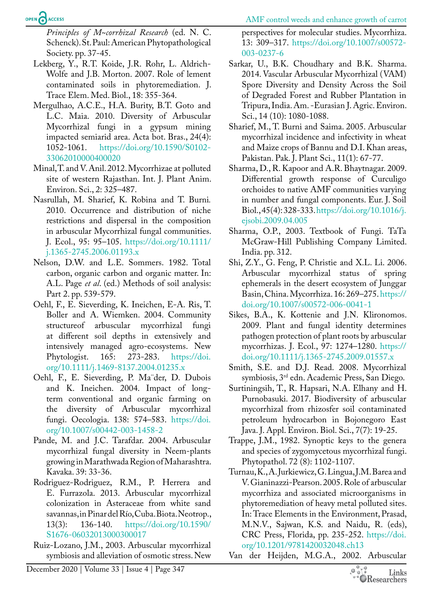AMF control weeds and enhance growth of carrot

OPEN CACCESS

*Principles of M~corrhizal Research* (ed. N. C. Schenck). St. Paul: American Phytopathological Society. pp. 37-45.

- <span id="page-6-18"></span>Lekberg, Y., R.T. Koide, J.R. Rohr, L. Aldrich-Wolfe and J.B. Morton. 2007. Role of lement contaminated soils in phytoremediation. J. Trace Elem. Med. Biol., 18: 355-364.
- <span id="page-6-15"></span>Mergulhao, A.C.E., H.A. Burity, B.T. Goto and L.C. Maia. 2010. Diversity of Arbuscular Mycorrhizal fungi in a gypsum mining impacted semiarid area. Acta bot. Bras., 24(4): 1052-1061. [https://doi.org/10.1590/S0102-](https://doi.org/10.1590/S0102-33062010000400020) [33062010000400020](https://doi.org/10.1590/S0102-33062010000400020)
- <span id="page-6-13"></span>Minal, T. and V. Anil. 2012. Mycorrhizae at polluted site of western Rajasthan. Int. J. Plant Anim. Environ. Sci., 2: 325–487.
- <span id="page-6-8"></span>Nasrullah, M. Sharief, K. Robina and T. Burni*.*  2010. Occurrence and distribution of niche restrictions and dispersal in the composition in arbuscular Mycorrhizal fungal communities. J. Ecol., 95: 95–105. [https://doi.org/10.1111/](https://doi.org/10.1111/j.1365-2745.2006.01193.x) [j.1365-2745.2006.01193.x](https://doi.org/10.1111/j.1365-2745.2006.01193.x)
- <span id="page-6-10"></span>Nelson, D.W. and L.E. Sommers. 1982. Total carbon, organic carbon and organic matter. In: A.L. Page *et al*. (ed.) Methods of soil analysis: Part 2. pp. 539-579.
- <span id="page-6-19"></span>Oehl, F., E. Sieverding, K. Ineichen, E-A. Ris, T. Boller and A. Wiemken. 2004. Community structureof arbuscular mycorrhizal fungi at different soil depths in extensively and intensively managed agro-ecosystems. New Phytologist. 165: 273-283. [https://doi.](https://doi.org/10.1111/j.1469-8137.2004.01235.x) [org/10.1111/j.1469-8137.2004.01235.x](https://doi.org/10.1111/j.1469-8137.2004.01235.x)
- Oehl, F., E. Sieverding, P. Ma¨der, D. Dubois and K. Ineichen. 2004. Impact of longterm conventional and organic farming on the diversity of Arbuscular mycorrhizal fungi. Oecologia. 138: 574–583. [https://doi.](https://doi.org/10.1007/s00442-003-1458-2) [org/10.1007/s00442-003-1458-2](https://doi.org/10.1007/s00442-003-1458-2)
- <span id="page-6-12"></span>Pande, M. and J.C. Tarafdar. 2004. Arbuscular mycorrhizal fungal diversity in Neem-plants growing in Marathwada Region of Maharashtra. Kavaka. 39: 33-36.
- <span id="page-6-16"></span>Rodriguez-Rodriguez, R.M., P. Herrera and E. Furrazola. 2013. Arbuscular mycorrhizal colonization in Asteraceae from white sand savannas, in Pinar del Río, Cuba. Biota. Neotrop., 13(3): 136-140. [https://doi.org/10.1590/](https://doi.org/10.1590/S1676-06032013000300017) [S1676-06032013000300017](https://doi.org/10.1590/S1676-06032013000300017)
- <span id="page-6-5"></span>Ruiz-Lozano, J.M., 2003. Arbuscular mycorrhizal symbiosis and alleviation of osmotic stress. New

perspectives for molecular studies. Mycorrhiza. 13: 309–317. [https://doi.org/10.1007/s00572-](https://doi.org/10.1007/s00572-003-0237-6) [003-0237-6](https://doi.org/10.1007/s00572-003-0237-6)

- <span id="page-6-14"></span>Sarkar, U., B.K. Choudhary and B.K. Sharma. 2014. Vascular Arbuscular Mycorrhizal (VAM) Spore Diversity and Density Across the Soil of Degraded Forest and Rubber Plantation in Tripura, India. Am. -Eurasian J. Agric. Environ. Sci., 14 (10): 1080-1088.
- <span id="page-6-7"></span>Sharief, M., T. Burni and Saima. 2005. Arbuscular mycorrhizal incidence and infectivity in wheat and Maize crops of Bannu and D.I. Khan areas, Pakistan. Pak. J. Plant Sci., 11(1): 67-77.
- <span id="page-6-1"></span>Sharma, D., R. Kapoor and A.R. Bhaytnagar. 2009. Differential growth response of Curculigo orchoides to native AMF communities varying in number and fungal components. Eur. J. Soil Biol., 45(4): 328-333. [https://doi.org/10.1016/j.](https://doi.org/10.1016/j.ejsobi.2009.04.005) [ejsobi.2009.04.005](https://doi.org/10.1016/j.ejsobi.2009.04.005)
- <span id="page-6-0"></span>Sharma, O.P., 2003. Textbook of Fungi. TaTa McGraw-Hill Publishing Company Limited. India. pp. 312.
- <span id="page-6-17"></span>Shi, Z.Y., G. Feng, P. Christie and X.L. Li. 2006. Arbuscular mycorrhizal status of spring ephemerals in the desert ecosystem of Junggar Basin, China. Mycorrhiza. 16: 269–275. [https://](https://doi.org/10.1007/s00572-006-0041-1) [doi.org/10.1007/s00572-006-0041-1](https://doi.org/10.1007/s00572-006-0041-1)
- <span id="page-6-3"></span>Sikes, B.A., K. Kottenie and J.N. Klironomos. 2009. Plant and fungal identity determines pathogen protection of plant roots by arbuscular mycorrhizas. J. Ecol., 97: 1274–1280. [https://](https://doi.org/10.1111/j.1365-2745.2009.01557.x) [doi.org/10.1111/j.1365-2745.2009.01557.x](https://doi.org/10.1111/j.1365-2745.2009.01557.x)
- <span id="page-6-2"></span>Smith, S.E. and D.J. Read. 2008. Mycorrhizal symbiosis, 3rd edn. Academic Press, San Diego.
- <span id="page-6-11"></span>Surtiningsih, T., R. Hapsari, N.A. Elhany and H. Purnobasuki. 2017. Biodiversity of arbuscular mycorrhizal from rhizosfer soil contaminated petroleum hydrocarbon in Bojonegoro East Java. J. Appl. Environ. Biol. Sci., 7(7): 19-25.
- <span id="page-6-9"></span>Trappe, J.M., 1982. Synoptic keys to the genera and species of zygomycetous mycorrhizal fungi. Phytopathol. 72 (8): 1102-1107.
- <span id="page-6-4"></span>Turnau, K., A. Jurkiewicz, G. Lingua, J.M. Barea and V. Gianinazzi-Pearson. 2005. Role of arbuscular mycorrhiza and associated microorganisms in phytoremediation of heavy metal polluted sites. In: Trace Elements in the Environment, Prasad, M.N.V., Sajwan, K.S. and Naidu, R. (eds), CRC Press, Florida, pp. 235-252. [https://doi.](https://doi.org/10.1201/9781420032048.ch13) [org/10.1201/9781420032048.ch13](https://doi.org/10.1201/9781420032048.ch13)
- <span id="page-6-6"></span>Van der Heijden, M.G.A., 2002. Arbuscular